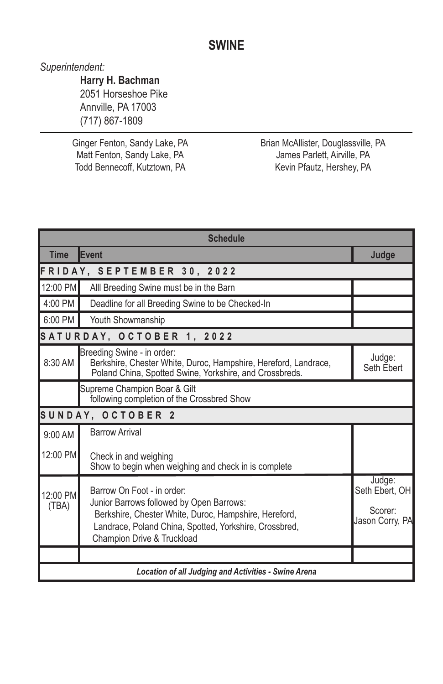# **SWINE**

*Superintendent:*

**Harry H. Bachman** 2051 Horseshoe Pike Annville, PA 17003 (717) 867-1809

Ginger Fenton, Sandy Lake, PA Matt Fenton, Sandy Lake, PA Todd Bennecoff, Kutztown, PA

Brian McAllister, Douglassville, PA James Parlett, Airville, PA Kevin Pfautz, Hershey, PA

| <b>Schedule</b>                                             |                                                                                                                                                                                                                         |                                                        |  |  |
|-------------------------------------------------------------|-------------------------------------------------------------------------------------------------------------------------------------------------------------------------------------------------------------------------|--------------------------------------------------------|--|--|
| <b>Time</b>                                                 | Event                                                                                                                                                                                                                   | Judge                                                  |  |  |
| FRIDAY, SEPTEMBER 30, 2022                                  |                                                                                                                                                                                                                         |                                                        |  |  |
| 12:00 PM                                                    | Alll Breeding Swine must be in the Barn                                                                                                                                                                                 |                                                        |  |  |
| 4:00 PM                                                     | Deadline for all Breeding Swine to be Checked-In                                                                                                                                                                        |                                                        |  |  |
| 6:00 PM                                                     | Youth Showmanship                                                                                                                                                                                                       |                                                        |  |  |
| SATURDAY, OCTOBER 1, 2022                                   |                                                                                                                                                                                                                         |                                                        |  |  |
| 8:30 AM                                                     | Breeding Swine - in order:<br>Berkshire, Chester White, Duroc, Hampshire, Hereford, Landrace,<br>Poland China, Spotted Swine, Yorkshire, and Crossbreds.                                                                | Judge:<br>Seth Ebert                                   |  |  |
|                                                             | Supreme Champion Boar & Gilt<br>following completion of the Crossbred Show                                                                                                                                              |                                                        |  |  |
| SUNDAY, OCTOBER 2                                           |                                                                                                                                                                                                                         |                                                        |  |  |
| $9:00$ AM                                                   | <b>Barrow Arrival</b>                                                                                                                                                                                                   |                                                        |  |  |
| 12:00 PM                                                    | Check in and weighing<br>Show to begin when weighing and check in is complete                                                                                                                                           |                                                        |  |  |
| $12:00$ PM<br>(TBA)                                         | Barrow On Foot - in order:<br>Junior Barrows followed by Open Barrows:<br>Berkshire, Chester White, Duroc, Hampshire, Hereford,<br>Landrace, Poland China, Spotted, Yorkshire, Crossbred,<br>Champion Drive & Truckload | Judge:<br>Seth Ebert, OH<br>Scorer:<br>Jason Corry, PA |  |  |
|                                                             |                                                                                                                                                                                                                         |                                                        |  |  |
| <b>Location of all Judging and Activities - Swine Arena</b> |                                                                                                                                                                                                                         |                                                        |  |  |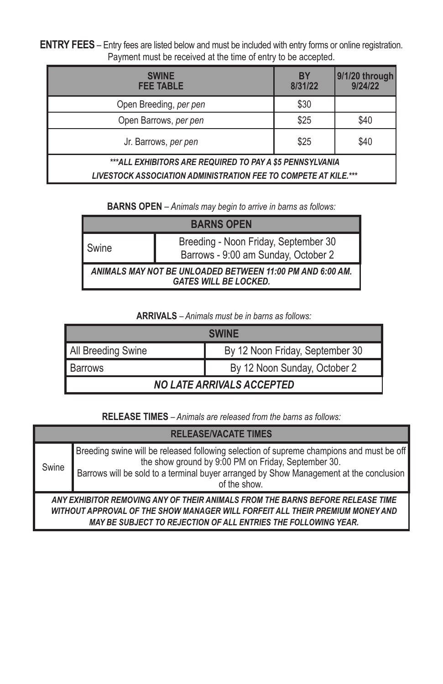**ENTRY FEES** – Entry fees are listed below and must be included with entry forms or online registration. Payment must be received at the time of entry to be accepted.

| <b>SWINE</b><br><b>FEE TABLE</b>                                | BY<br>8/31/22 | 9/1/20 through<br>9/24/22 |
|-----------------------------------------------------------------|---------------|---------------------------|
| Open Breeding, per pen                                          | \$30          |                           |
| Open Barrows, per pen                                           | \$25          | \$40                      |
| Jr. Barrows, per pen                                            | \$25          | \$40                      |
| ***ALL EXHIBITORS ARE REQUIRED TO PAY A \$5 PENNSYLVANIA        |               |                           |
| LIVESTOCK ASSOCIATION ADMINISTRATION FEE TO COMPETE AT KILE.*** |               |                           |

**BARNS OPEN** *– Animals may begin to arrive in barns as follows:*

| <b>BARNS OPEN</b>                                                                         |                                                                             |  |  |  |
|-------------------------------------------------------------------------------------------|-----------------------------------------------------------------------------|--|--|--|
| I Swine                                                                                   | Breeding - Noon Friday, September 30<br>Barrows - 9:00 am Sunday, October 2 |  |  |  |
| ANIMALS MAY NOT BE UNLOADED BETWEEN 11:00 PM AND 6:00 AM.<br><b>GATES WILL BE LOCKED.</b> |                                                                             |  |  |  |

**ARRIVALS** *– Animals must be in barns as follows:*

| <b>SWINF</b>                     |                                 |  |  |  |
|----------------------------------|---------------------------------|--|--|--|
| All Breeding Swine               | By 12 Noon Friday, September 30 |  |  |  |
| <b>Barrows</b>                   | By 12 Noon Sunday, October 2    |  |  |  |
| <b>NO LATE ARRIVALS ACCEPTED</b> |                                 |  |  |  |

**RELEASE TIMES** *– Animals are released from the barns as follows:*

| <b>RELEASE/VACATE TIMES</b>                                                                                                                                                                                                              |                                                                                                                                                                                                                                                           |  |
|------------------------------------------------------------------------------------------------------------------------------------------------------------------------------------------------------------------------------------------|-----------------------------------------------------------------------------------------------------------------------------------------------------------------------------------------------------------------------------------------------------------|--|
| Swine                                                                                                                                                                                                                                    | Breeding swine will be released following selection of supreme champions and must be off<br>the show ground by 9:00 PM on Friday, September 30.<br>Barrows will be sold to a terminal buyer arranged by Show Management at the conclusion<br>of the show. |  |
| ANY EXHIBITOR REMOVING ANY OF THEIR ANIMALS FROM THE BARNS BEFORE RELEASE TIME<br>WITHOUT APPROVAL OF THE SHOW MANAGER WILL FORFEIT ALL THEIR PREMIUM MONEY AND<br><b>MAY BE SUBJECT TO REJECTION OF ALL ENTRIES THE FOLLOWING YEAR.</b> |                                                                                                                                                                                                                                                           |  |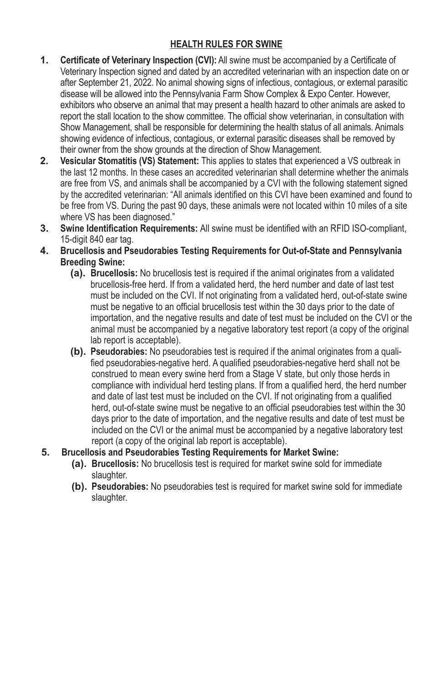# **HEALTH RULES FOR SWINE**

- **1. Certificate of Veterinary Inspection (CVI):** All swine must be accompanied by a Certificate of Veterinary Inspection signed and dated by an accredited veterinarian with an inspection date on or after September 21, 2022. No animal showing signs of infectious, contagious, or external parasitic disease will be allowed into the Pennsylvania Farm Show Complex & Expo Center. However, exhibitors who observe an animal that may present a health hazard to other animals are asked to report the stall location to the show committee. The official show veterinarian, in consultation with Show Management, shall be responsible for determining the health status of all animals. Animals showing evidence of infectious, contagious, or external parasitic diseases shall be removed by their owner from the show grounds at the direction of Show Management.
- **2. Vesicular Stomatitis (VS) Statement:** This applies to states that experienced a VS outbreak in the last 12 months. In these cases an accredited veterinarian shall determine whether the animals are free from VS, and animals shall be accompanied by a CVI with the following statement signed by the accredited veterinarian: "All animals identified on this CVI have been examined and found to be free from VS. During the past 90 days, these animals were not located within 10 miles of a site where VS has been diagnosed."
- **3. Swine Identification Requirements:** All swine must be identified with an RFID ISO-compliant, 15-digit 840 ear tag.
- **4. Brucellosis and Pseudorabies Testing Requirements for Out-of-State and Pennsylvania Breeding Swine:**
	- **(a). Brucellosis:** No brucellosis test is required if the animal originates from a validated brucellosis-free herd. If from a validated herd, the herd number and date of last test must be included on the CVI. If not originating from a validated herd, out-of-state swine must be negative to an official brucellosis test within the 30 days prior to the date of importation, and the negative results and date of test must be included on the CVI or the animal must be accompanied by a negative laboratory test report (a copy of the original lab report is acceptable).
	- **(b). Pseudorabies:** No pseudorabies test is required if the animal originates from a qualified pseudorabies-negative herd. A qualified pseudorabies-negative herd shall not be construed to mean every swine herd from a Stage V state, but only those herds in compliance with individual herd testing plans. If from a qualified herd, the herd number and date of last test must be included on the CVI. If not originating from a qualified herd, out-of-state swine must be negative to an official pseudorabies test within the 30 days prior to the date of importation, and the negative results and date of test must be included on the CVI or the animal must be accompanied by a negative laboratory test report (a copy of the original lab report is acceptable).
- **5. Brucellosis and Pseudorabies Testing Requirements for Market Swine:**
	- **(a). Brucellosis:** No brucellosis test is required for market swine sold for immediate slaughter.
	- **(b). Pseudorabies:** No pseudorabies test is required for market swine sold for immediate slaughter.